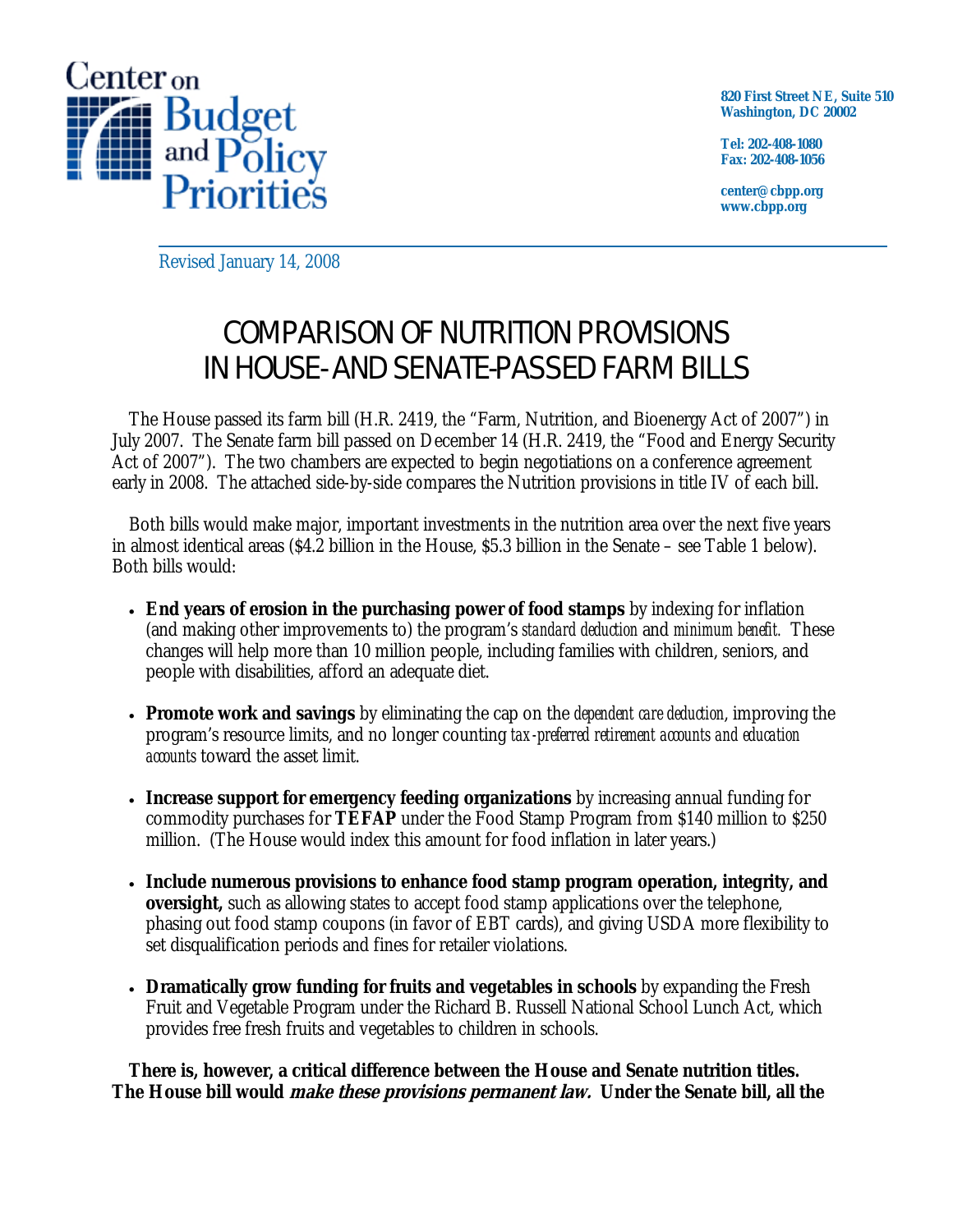

**820 First Street NE, Suite 510 Washington, DC 20002** 

**Tel: 202-408-1080 Fax: 202-408-1056** 

**center@cbpp.org www.cbpp.org** 

Revised January 14, 2008

## COMPARISON OF NUTRITION PROVISIONS IN HOUSE- AND SENATE-PASSED FARM BILLS

 The House passed its farm bill (H.R. 2419, the "Farm, Nutrition, and Bioenergy Act of 2007") in July 2007. The Senate farm bill passed on December 14 (H.R. 2419, the "Food and Energy Security Act of 2007"). The two chambers are expected to begin negotiations on a conference agreement early in 2008. The attached side-by-side compares the Nutrition provisions in title IV of each bill.

 Both bills would make major, important investments in the nutrition area over the next five years in almost identical areas (\$4.2 billion in the House, \$5.3 billion in the Senate – see Table 1 below). Both bills would:

- **End years of erosion in the purchasing power of food stamps** by indexing for inflation (and making other improvements to) the program's *standard deduction* and *minimum benefit.* These changes will help more than 10 million people, including families with children, seniors, and people with disabilities, afford an adequate diet.
- **Promote work and savings** by eliminating the cap on the *dependent care deduction*, improving the program's resource limits, and no longer counting *tax-preferred retirement accounts and education accounts* toward the asset limit.
- **Increase support for emergency feeding organizations** by increasing annual funding for commodity purchases for **TEFAP** under the Food Stamp Program from \$140 million to \$250 million. (The House would index this amount for food inflation in later years.)
- **Include numerous provisions to enhance food stamp program operation, integrity, and oversight,** such as allowing states to accept food stamp applications over the telephone, phasing out food stamp coupons (in favor of EBT cards), and giving USDA more flexibility to set disqualification periods and fines for retailer violations.
- **Dramatically grow funding for fruits and vegetables in schools** by expanding the Fresh Fruit and Vegetable Program under the Richard B. Russell National School Lunch Act, which provides free fresh fruits and vegetables to children in schools.

**There is, however, a critical difference between the House and Senate nutrition titles. The House bill would make these provisions permanent law. Under the Senate bill, all the**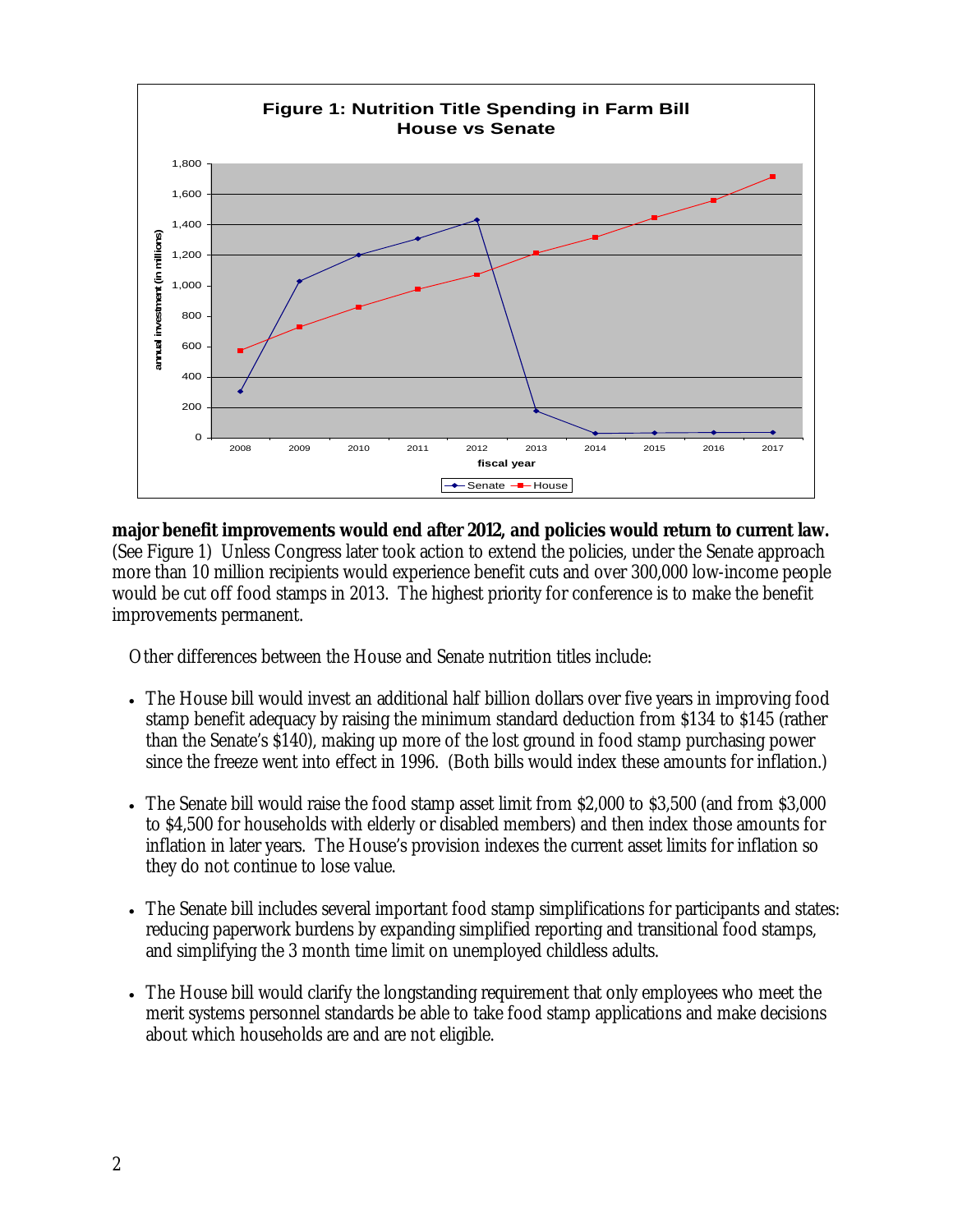

**major benefit improvements would end after 2012, and policies would return to current law.**  (See Figure 1) Unless Congress later took action to extend the policies, under the Senate approach more than 10 million recipients would experience benefit cuts and over 300,000 low-income people would be cut off food stamps in 2013. The highest priority for conference is to make the benefit improvements permanent.

Other differences between the House and Senate nutrition titles include:

- The House bill would invest an additional half billion dollars over five years in improving food stamp benefit adequacy by raising the minimum standard deduction from \$134 to \$145 (rather than the Senate's \$140), making up more of the lost ground in food stamp purchasing power since the freeze went into effect in 1996. (Both bills would index these amounts for inflation.)
- The Senate bill would raise the food stamp asset limit from \$2,000 to \$3,500 (and from \$3,000) to \$4,500 for households with elderly or disabled members) and then index those amounts for inflation in later years. The House's provision indexes the current asset limits for inflation so they do not continue to lose value.
- The Senate bill includes several important food stamp simplifications for participants and states: reducing paperwork burdens by expanding simplified reporting and transitional food stamps, and simplifying the 3 month time limit on unemployed childless adults.
- The House bill would clarify the longstanding requirement that only employees who meet the merit systems personnel standards be able to take food stamp applications and make decisions about which households are and are not eligible.